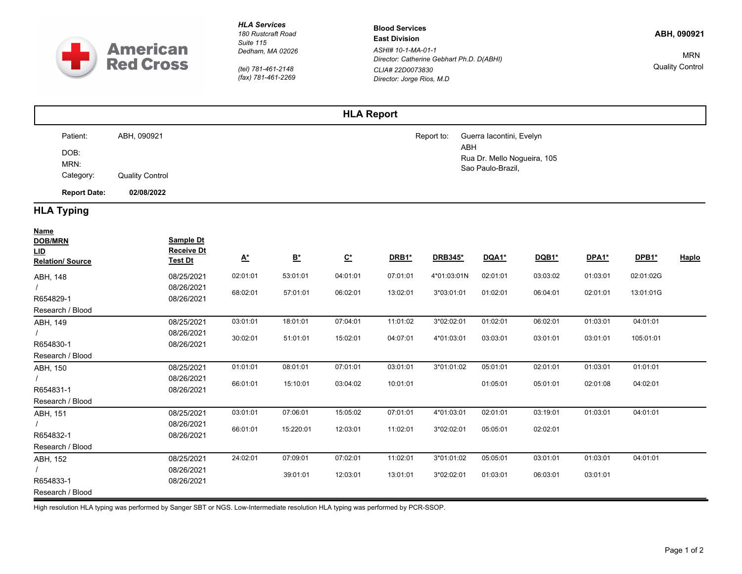

*HLA Services*

*180 Rustcraft Road Suite 115 Dedham, MA 02026*

*(tel) 781-461-2148 (fax) 781-461-2269* **Blood Services East Division** *ASHI# 10-1-MA-01-1 Director: Catherine Gebhart Ph.D. D(ABHI) CLIA# 22D0073830 Director: Jorge Rios, M.D*

**ABH, 090921**

MRN Quality Control

|  |                     |                        | <b>HLA Report</b> |                             |
|--|---------------------|------------------------|-------------------|-----------------------------|
|  | Patient:            | ABH, 090921            | Report to:        | Guerra Iacontini, Evelyn    |
|  | DOB:                |                        |                   | ABH                         |
|  | MRN:                |                        |                   | Rua Dr. Mello Nogueira, 105 |
|  | Category:           | <b>Quality Control</b> |                   | Sao Paulo-Brazil,           |
|  | <b>Report Date:</b> | 02/08/2022             |                   |                             |

## **HLA Typing**

| <b>Name</b>                           |                                     |                                |                                |                                |              |             |              |              |              |              |       |
|---------------------------------------|-------------------------------------|--------------------------------|--------------------------------|--------------------------------|--------------|-------------|--------------|--------------|--------------|--------------|-------|
| <b>DOB/MRN</b>                        | Sample Dt                           |                                |                                |                                |              |             |              |              |              |              |       |
| <u>LID</u><br><b>Relation/ Source</b> | <b>Receive Dt</b><br><u>Test Dt</u> | $\underline{\mathsf{A}}^\star$ | $\underline{\mathsf{B}}^\star$ | $\underline{\mathsf{C}}^\star$ | <b>DRB1*</b> | DRB345*     | <b>DQA1*</b> | <b>DQB1*</b> | <b>DPA1*</b> | <b>DPB1*</b> | Haplo |
|                                       |                                     |                                |                                |                                |              |             |              |              |              |              |       |
| ABH, 148                              | 08/25/2021                          | 02:01:01                       | 53:01:01                       | 04:01:01                       | 07:01:01     | 4*01:03:01N | 02:01:01     | 03:03:02     | 01:03:01     | 02:01:02G    |       |
|                                       | 08/26/2021                          | 68:02:01                       | 57:01:01                       | 06:02:01                       | 13:02:01     | 3*03:01:01  | 01:02:01     | 06:04:01     | 02:01:01     | 13:01:01G    |       |
| R654829-1                             | 08/26/2021                          |                                |                                |                                |              |             |              |              |              |              |       |
| Research / Blood                      |                                     |                                |                                |                                |              |             |              |              |              |              |       |
| ABH, 149                              | 08/25/2021                          | 03:01:01                       | 18:01:01                       | 07:04:01                       | 11:01:02     | 3*02:02:01  | 01:02:01     | 06:02:01     | 01:03:01     | 04:01:01     |       |
|                                       | 08/26/2021                          | 30:02:01                       | 51:01:01                       | 15:02:01                       | 04:07:01     | 4*01:03:01  | 03:03:01     | 03:01:01     | 03:01:01     | 105:01:01    |       |
| R654830-1                             | 08/26/2021                          |                                |                                |                                |              |             |              |              |              |              |       |
| Research / Blood                      |                                     |                                |                                |                                |              |             |              |              |              |              |       |
| ABH, 150                              | 08/25/2021                          | 01:01:01                       | 08:01:01                       | 07:01:01                       | 03:01:01     | 3*01:01:02  | 05:01:01     | 02:01:01     | 01:03:01     | 01:01:01     |       |
|                                       | 08/26/2021                          | 66:01:01                       | 15:10:01                       | 03:04:02                       | 10:01:01     |             | 01:05:01     | 05:01:01     | 02:01:08     | 04:02:01     |       |
| R654831-1                             | 08/26/2021                          |                                |                                |                                |              |             |              |              |              |              |       |
| Research / Blood                      |                                     |                                |                                |                                |              |             |              |              |              |              |       |
| ABH, 151                              | 08/25/2021                          | 03:01:01                       | 07:06:01                       | 15:05:02                       | 07:01:01     | 4*01:03:01  | 02:01:01     | 03:19:01     | 01:03:01     | 04:01:01     |       |
|                                       | 08/26/2021                          | 66:01:01                       | 15:220:01                      | 12:03:01                       | 11:02:01     | 3*02:02:01  | 05:05:01     | 02:02:01     |              |              |       |
| R654832-1                             | 08/26/2021                          |                                |                                |                                |              |             |              |              |              |              |       |
| Research / Blood                      |                                     |                                |                                |                                |              |             |              |              |              |              |       |
| ABH, 152                              | 08/25/2021                          | 24:02:01                       | 07:09:01                       | 07:02:01                       | 11:02:01     | 3*01:01:02  | 05:05:01     | 03:01:01     | 01:03:01     | 04:01:01     |       |
|                                       | 08/26/2021                          |                                | 39:01:01                       | 12:03:01                       | 13:01:01     | 3*02:02:01  | 01:03:01     | 06:03:01     | 03:01:01     |              |       |
| R654833-1                             | 08/26/2021                          |                                |                                |                                |              |             |              |              |              |              |       |
| Research / Blood                      |                                     |                                |                                |                                |              |             |              |              |              |              |       |

High resolution HLA typing was performed by Sanger SBT or NGS. Low-Intermediate resolution HLA typing was performed by PCR-SSOP.